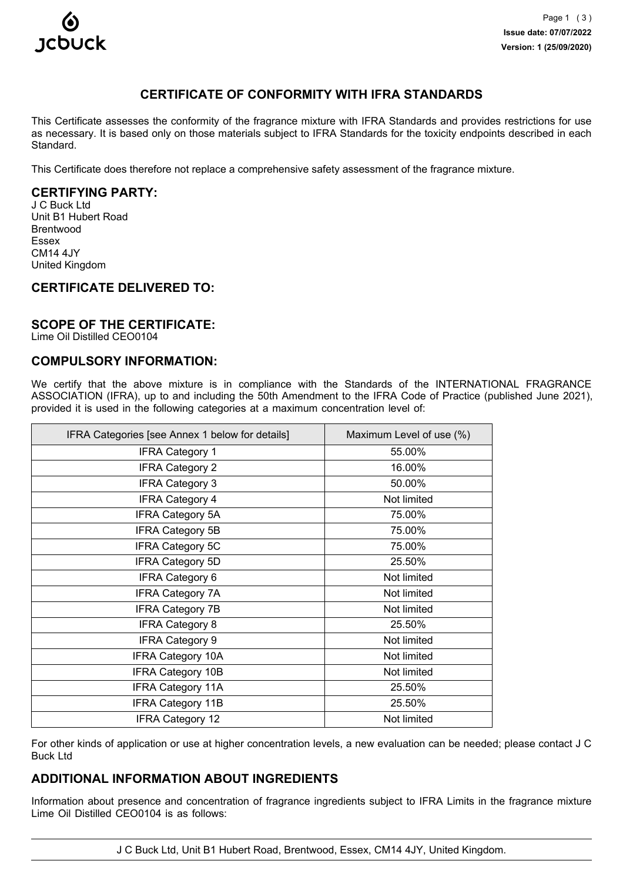

# **CERTIFICATE OF CONFORMITY WITH IFRA STANDARDS**

This Certificate assesses the conformity of the fragrance mixture with IFRA Standards and provides restrictions for use as necessary. It is based only on those materials subject to IFRA Standards for the toxicity endpoints described in each Standard.

This Certificate does therefore not replace a comprehensive safety assessment of the fragrance mixture.

## **CERTIFYING PARTY:**

J C Buck Ltd Unit B1 Hubert Road Brentwood Essex CM14 4JY United Kingdom

## **CERTIFICATE DELIVERED TO:**

### **SCOPE OF THE CERTIFICATE:**

Lime Oil Distilled CEO0104

# **COMPULSORY INFORMATION:**

We certify that the above mixture is in compliance with the Standards of the INTERNATIONAL FRAGRANCE ASSOCIATION (IFRA), up to and including the 50th Amendment to the IFRA Code of Practice (published June 2021), provided it is used in the following categories at a maximum concentration level of:

| IFRA Categories [see Annex 1 below for details] | Maximum Level of use (%) |
|-------------------------------------------------|--------------------------|
| <b>IFRA Category 1</b>                          | 55.00%                   |
| <b>IFRA Category 2</b>                          | 16.00%                   |
| <b>IFRA Category 3</b>                          | 50.00%                   |
| <b>IFRA Category 4</b>                          | Not limited              |
| <b>IFRA Category 5A</b>                         | 75.00%                   |
| <b>IFRA Category 5B</b>                         | 75.00%                   |
| <b>IFRA Category 5C</b>                         | 75.00%                   |
| <b>IFRA Category 5D</b>                         | 25.50%                   |
| <b>IFRA Category 6</b>                          | Not limited              |
| <b>IFRA Category 7A</b>                         | Not limited              |
| <b>IFRA Category 7B</b>                         | Not limited              |
| <b>IFRA Category 8</b>                          | 25.50%                   |
| <b>IFRA Category 9</b>                          | Not limited              |
| <b>IFRA Category 10A</b>                        | Not limited              |
| <b>IFRA Category 10B</b>                        | Not limited              |
| <b>IFRA Category 11A</b>                        | 25.50%                   |
| <b>IFRA Category 11B</b>                        | 25.50%                   |
| <b>IFRA Category 12</b>                         | Not limited              |

For other kinds of application or use at higher concentration levels, a new evaluation can be needed; please contact J C Buck Ltd

## **ADDITIONAL INFORMATION ABOUT INGREDIENTS**

Information about presence and concentration of fragrance ingredients subject to IFRA Limits in the fragrance mixture Lime Oil Distilled CEO0104 is as follows:

J C Buck Ltd, Unit B1 Hubert Road, Brentwood, Essex, CM14 4JY, United Kingdom.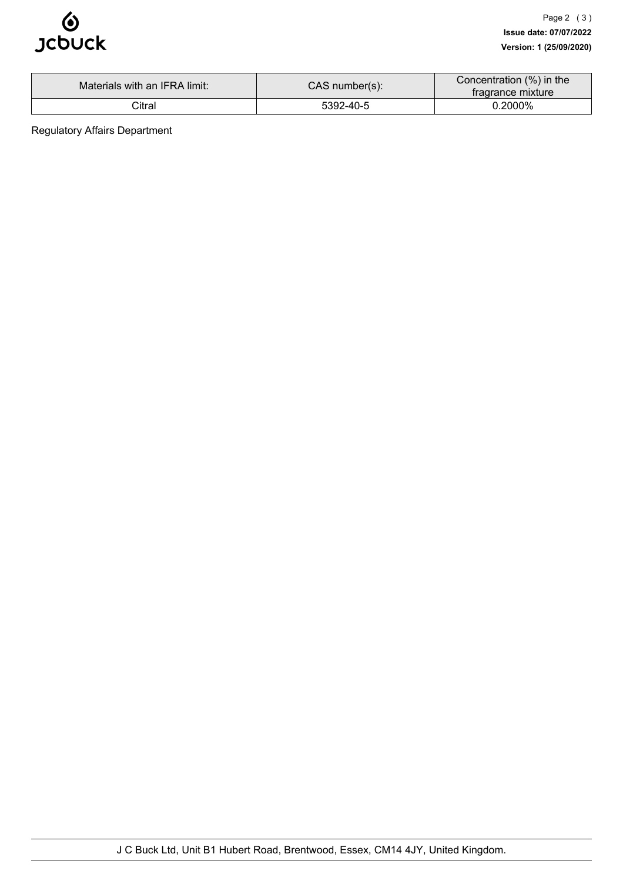

| Materials with an IFRA limit: | $CAS$ number(s): | Concentration (%) in the<br>tragrance mixture |
|-------------------------------|------------------|-----------------------------------------------|
| Citral                        | 5392-40-5        | 0.2000%                                       |

Regulatory Affairs Department